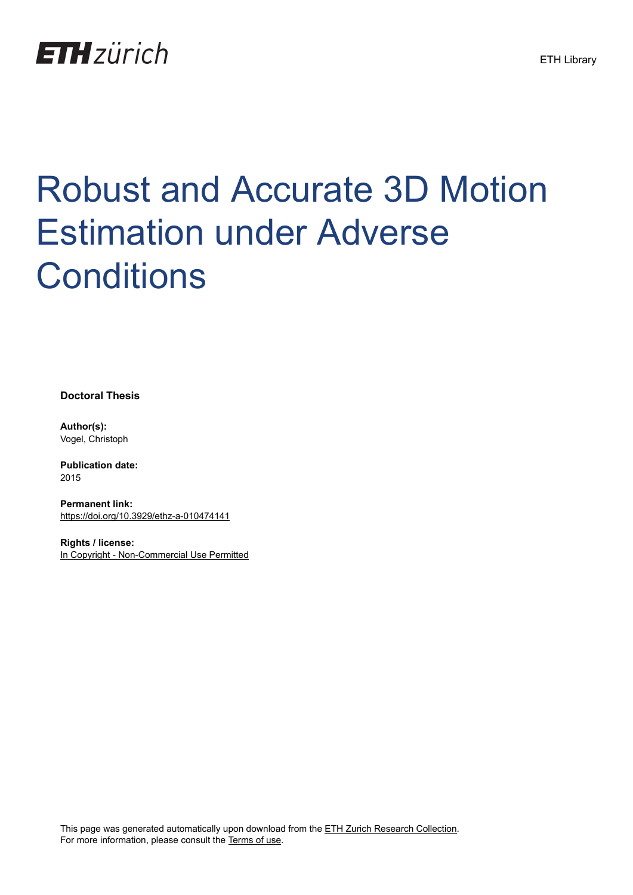

# Robust and Accurate 3D Motion Estimation under Adverse **Conditions**

**Doctoral Thesis**

**Author(s):** Vogel, Christoph

**Publication date:** 2015

**Permanent link:** <https://doi.org/10.3929/ethz-a-010474141>

**Rights / license:** [In Copyright - Non-Commercial Use Permitted](http://rightsstatements.org/page/InC-NC/1.0/)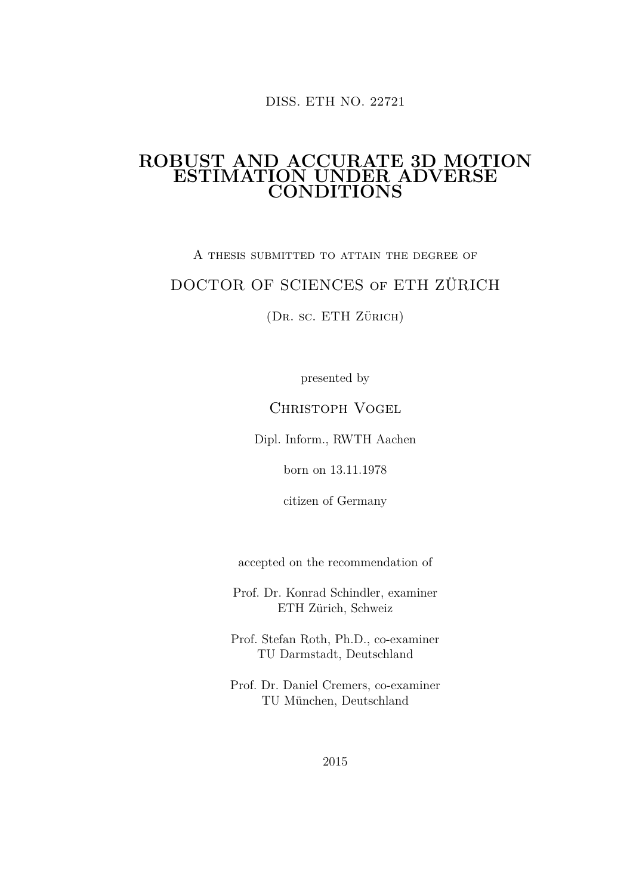DISS. ETH NO. 22721

#### **ROBUST AND ACCURATE 3D MOTION ESTIMATION UNDER ADVERSE CONDITIONS**

### A thesis submitted to attain the degree of DOCTOR OF SCIENCES of ETH ZÜRICH

(Dr. sc. ETH Zürich)

presented by

CHRISTOPH VOGEL

Dipl. Inform., RWTH Aachen

born on 13.11.1978

citizen of Germany

accepted on the recommendation of

Prof. Dr. Konrad Schindler, examiner ETH Zürich, Schweiz

Prof. Stefan Roth, Ph.D., co-examiner TU Darmstadt, Deutschland

Prof. Dr. Daniel Cremers, co-examiner TU München, Deutschland

2015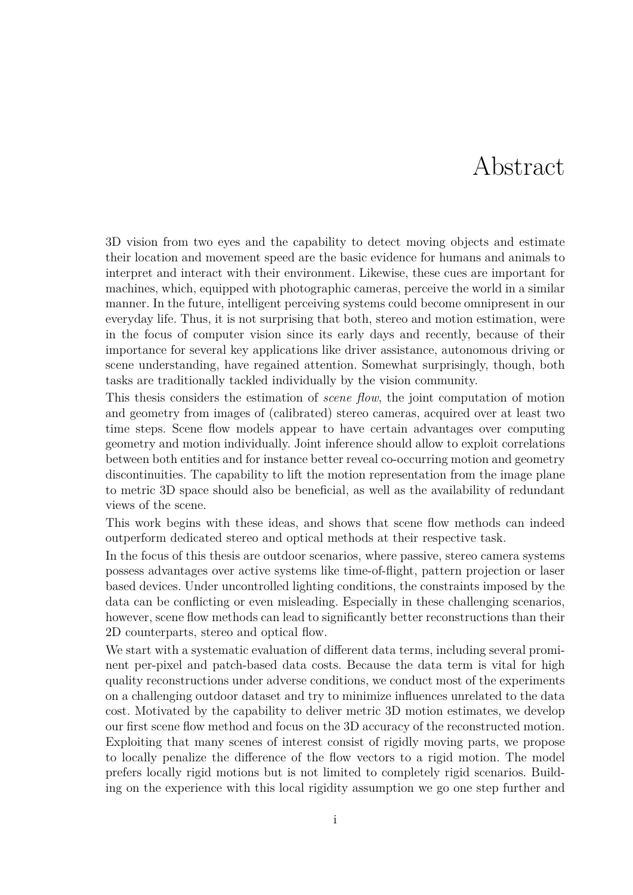## Abstract

3D vision from two eyes and the capability to detect moving objects and estimate their location and movement speed are the basic evidence for humans and animals to interpret and interact with their environment. Likewise, these cues are important for machines, which, equipped with photographic cameras, perceive the world in a similar manner. In the future, intelligent perceiving systems could become omnipresent in our everyday life. Thus, it is not surprising that both, stereo and motion estimation, were in the focus of computer vision since its early days and recently, because of their importance for several key applications like driver assistance, autonomous driving or scene understanding, have regained attention. Somewhat surprisingly, though, both tasks are traditionally tackled individually by the vision community.

This thesis considers the estimation of *scene flow*, the joint computation of motion and geometry from images of (calibrated) stereo cameras, acquired over at least two time steps. Scene flow models appear to have certain advantages over computing geometry and motion individually. Joint inference should allow to exploit correlations between both entities and for instance better reveal co-occurring motion and geometry discontinuities. The capability to lift the motion representation from the image plane to metric 3D space should also be beneficial, as well as the availability of redundant views of the scene.

This work begins with these ideas, and shows that scene flow methods can indeed outperform dedicated stereo and optical methods at their respective task.

In the focus of this thesis are outdoor scenarios, where passive, stereo camera systems possess advantages over active systems like time-of-flight, pattern projection or laser based devices. Under uncontrolled lighting conditions, the constraints imposed by the data can be conflicting or even misleading. Especially in these challenging scenarios, however, scene flow methods can lead to significantly better reconstructions than their 2D counterparts, stereo and optical flow.

We start with a systematic evaluation of different data terms, including several prominent per-pixel and patch-based data costs. Because the data term is vital for high quality reconstructions under adverse conditions, we conduct most of the experiments on a challenging outdoor dataset and try to minimize influences unrelated to the data cost. Motivated by the capability to deliver metric 3D motion estimates, we develop our first scene flow method and focus on the 3D accuracy of the reconstructed motion. Exploiting that many scenes of interest consist of rigidly moving parts, we propose to locally penalize the difference of the flow vectors to a rigid motion. The model prefers locally rigid motions but is not limited to completely rigid scenarios. Building on the experience with this local rigidity assumption we go one step further and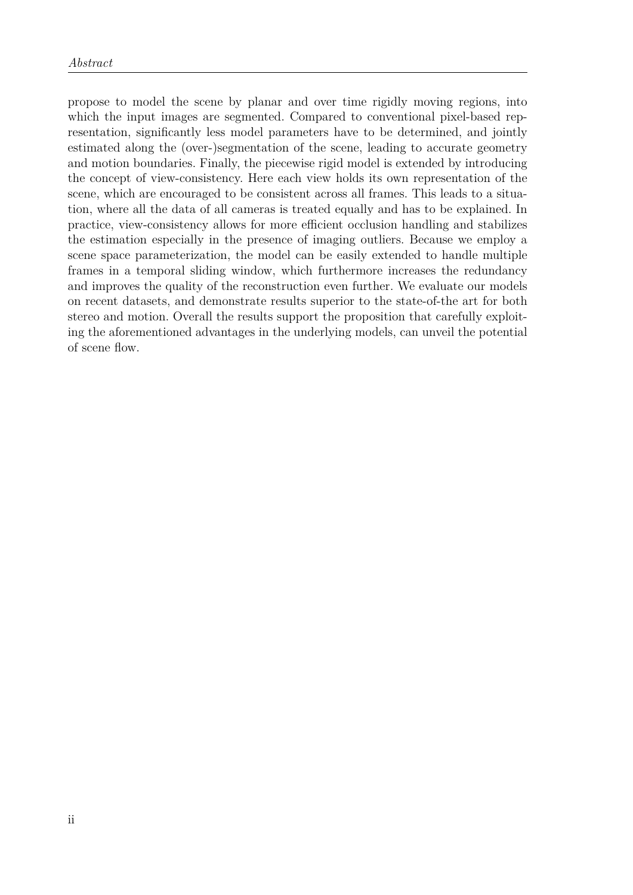propose to model the scene by planar and over time rigidly moving regions, into which the input images are segmented. Compared to conventional pixel-based representation, significantly less model parameters have to be determined, and jointly estimated along the (over-)segmentation of the scene, leading to accurate geometry and motion boundaries. Finally, the piecewise rigid model is extended by introducing the concept of view-consistency. Here each view holds its own representation of the scene, which are encouraged to be consistent across all frames. This leads to a situation, where all the data of all cameras is treated equally and has to be explained. In practice, view-consistency allows for more efficient occlusion handling and stabilizes the estimation especially in the presence of imaging outliers. Because we employ a scene space parameterization, the model can be easily extended to handle multiple frames in a temporal sliding window, which furthermore increases the redundancy and improves the quality of the reconstruction even further. We evaluate our models on recent datasets, and demonstrate results superior to the state-of-the art for both stereo and motion. Overall the results support the proposition that carefully exploiting the aforementioned advantages in the underlying models, can unveil the potential of scene flow.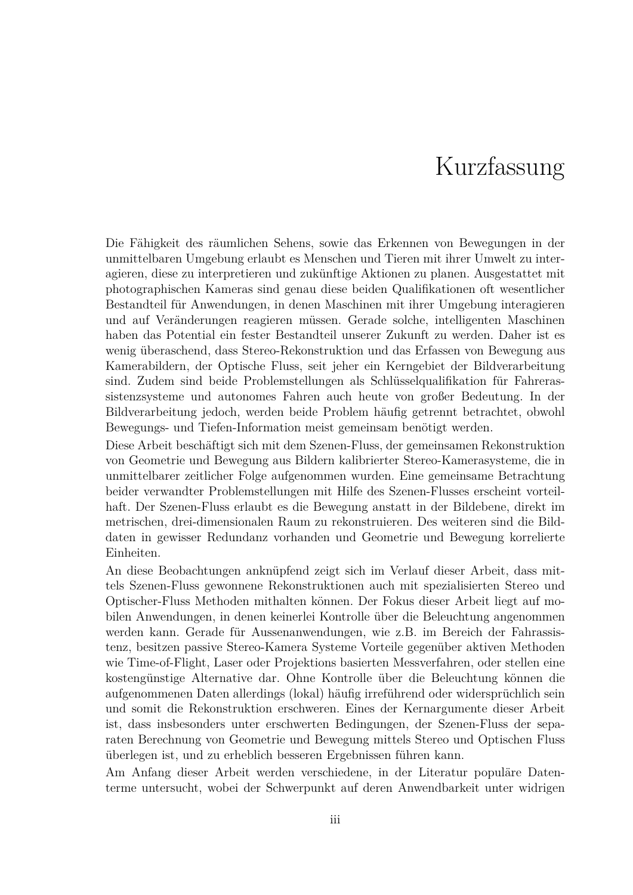## Kurzfassung

Die Fähigkeit des räumlichen Sehens, sowie das Erkennen von Bewegungen in der unmittelbaren Umgebung erlaubt es Menschen und Tieren mit ihrer Umwelt zu interagieren, diese zu interpretieren und zukünftige Aktionen zu planen. Ausgestattet mit photographischen Kameras sind genau diese beiden Qualifikationen oft wesentlicher Bestandteil für Anwendungen, in denen Maschinen mit ihrer Umgebung interagieren und auf Veränderungen reagieren müssen. Gerade solche, intelligenten Maschinen haben das Potential ein fester Bestandteil unserer Zukunft zu werden. Daher ist es wenig überaschend, dass Stereo-Rekonstruktion und das Erfassen von Bewegung aus Kamerabildern, der Optische Fluss, seit jeher ein Kerngebiet der Bildverarbeitung sind. Zudem sind beide Problemstellungen als Schlüsselqualifikation für Fahrerassistenzsysteme und autonomes Fahren auch heute von großer Bedeutung. In der Bildverarbeitung jedoch, werden beide Problem häufig getrennt betrachtet, obwohl Bewegungs- und Tiefen-Information meist gemeinsam benötigt werden.

Diese Arbeit beschäftigt sich mit dem Szenen-Fluss, der gemeinsamen Rekonstruktion von Geometrie und Bewegung aus Bildern kalibrierter Stereo-Kamerasysteme, die in unmittelbarer zeitlicher Folge aufgenommen wurden. Eine gemeinsame Betrachtung beider verwandter Problemstellungen mit Hilfe des Szenen-Flusses erscheint vorteilhaft. Der Szenen-Fluss erlaubt es die Bewegung anstatt in der Bildebene, direkt im metrischen, drei-dimensionalen Raum zu rekonstruieren. Des weiteren sind die Bilddaten in gewisser Redundanz vorhanden und Geometrie und Bewegung korrelierte Einheiten.

An diese Beobachtungen anknüpfend zeigt sich im Verlauf dieser Arbeit, dass mittels Szenen-Fluss gewonnene Rekonstruktionen auch mit spezialisierten Stereo und Optischer-Fluss Methoden mithalten können. Der Fokus dieser Arbeit liegt auf mobilen Anwendungen, in denen keinerlei Kontrolle über die Beleuchtung angenommen werden kann. Gerade für Aussenanwendungen, wie z.B. im Bereich der Fahrassistenz, besitzen passive Stereo-Kamera Systeme Vorteile gegenüber aktiven Methoden wie Time-of-Flight, Laser oder Projektions basierten Messverfahren, oder stellen eine kostengünstige Alternative dar. Ohne Kontrolle über die Beleuchtung können die aufgenommenen Daten allerdings (lokal) häufig irreführend oder widersprüchlich sein und somit die Rekonstruktion erschweren. Eines der Kernargumente dieser Arbeit ist, dass insbesonders unter erschwerten Bedingungen, der Szenen-Fluss der separaten Berechnung von Geometrie und Bewegung mittels Stereo und Optischen Fluss überlegen ist, und zu erheblich besseren Ergebnissen führen kann.

Am Anfang dieser Arbeit werden verschiedene, in der Literatur populäre Datenterme untersucht, wobei der Schwerpunkt auf deren Anwendbarkeit unter widrigen